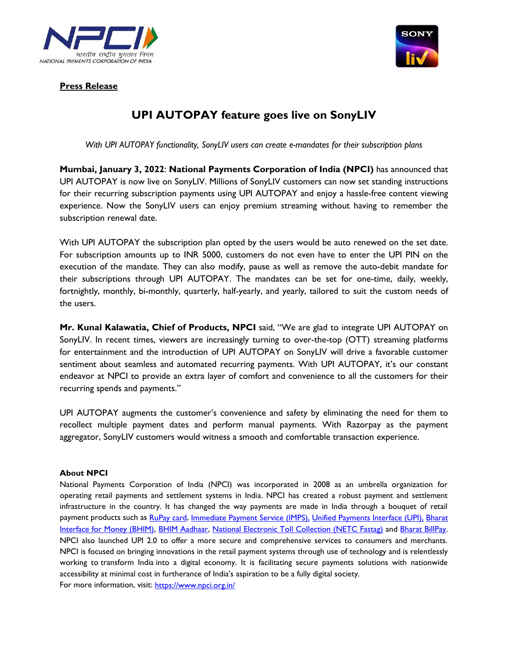



## **Press Release**

## **UPI AUTOPAY feature goes live on SonyLIV**

*With UPI AUTOPAY functionality, SonyLIV users can create e-mandates for their subscription plans*

**Mumbai, January 3, 2022**: **National Payments Corporation of India (NPCI)** has announced that UPI AUTOPAY is now live on SonyLIV. Millions of SonyLIV customers can now set standing instructions for their recurring subscription payments using UPI AUTOPAY and enjoy a hassle-free content viewing experience. Now the SonyLIV users can enjoy premium streaming without having to remember the subscription renewal date.

With UPI AUTOPAY the subscription plan opted by the users would be auto renewed on the set date. For subscription amounts up to INR 5000, customers do not even have to enter the UPI PIN on the execution of the mandate. They can also modify, pause as well as remove the auto-debit mandate for their subscriptions through UPI AUTOPAY. The mandates can be set for one-time, daily, weekly, fortnightly, monthly, bi-monthly, quarterly, half-yearly, and yearly, tailored to suit the custom needs of the users.

**Mr. Kunal Kalawatia, Chief of Products, NPCI** said, "We are glad to integrate UPI AUTOPAY on SonyLIV. In recent times, viewers are increasingly turning to over-the-top (OTT) streaming platforms for entertainment and the introduction of UPI AUTOPAY on SonyLIV will drive a favorable customer sentiment about seamless and automated recurring payments. With UPI AUTOPAY, it's our constant endeavor at NPCI to provide an extra layer of comfort and convenience to all the customers for their recurring spends and payments."

UPI AUTOPAY augments the customer's convenience and safety by eliminating the need for them to recollect multiple payment dates and perform manual payments. With Razorpay as the payment aggregator, SonyLIV customers would witness a smooth and comfortable transaction experience.

## **About NPCI**

National Payments Corporation of India (NPCI) was incorporated in 2008 as an umbrella organization for operating retail payments and settlement systems in India. NPCI has created a robust payment and settlement infrastructure in the country. It has changed the way payments are made in India through a bouquet of retail payment products such as [RuPay card,](https://www.npci.org.in/product-overview/rupay-product-overview) [Immediate Payment Service \(IMPS\),](https://www.npci.org.in/product-overview/imps-product-overview) [Unified Payments Interface \(UPI\),](https://www.npci.org.in/product-overview/upi-product-overview) Bharat [Interface for Money \(BHIM\),](https://www.npci.org.in/product-overview/bhim-product-overview) [BHIM Aadhaar,](https://www.npci.org.in/product-overview/bhim-aadhaar) [National Electronic Toll Collection \(NETC Fastag\)](https://www.npci.org.in/netc) and [Bharat BillPay.](https://www.npci.org.in/product-overview/bharat-billpay-product-overview) NPCI also launched UPI 2.0 to offer a more secure and comprehensive services to consumers and merchants. NPCI is focused on bringing innovations in the retail payment systems through use of technology and is relentlessly working to transform India into a digital economy. It is facilitating secure payments solutions with nationwide accessibility at minimal cost in furtherance of India's aspiration to be a fully digital society. For more information, visit: <https://www.npci.org.in/>